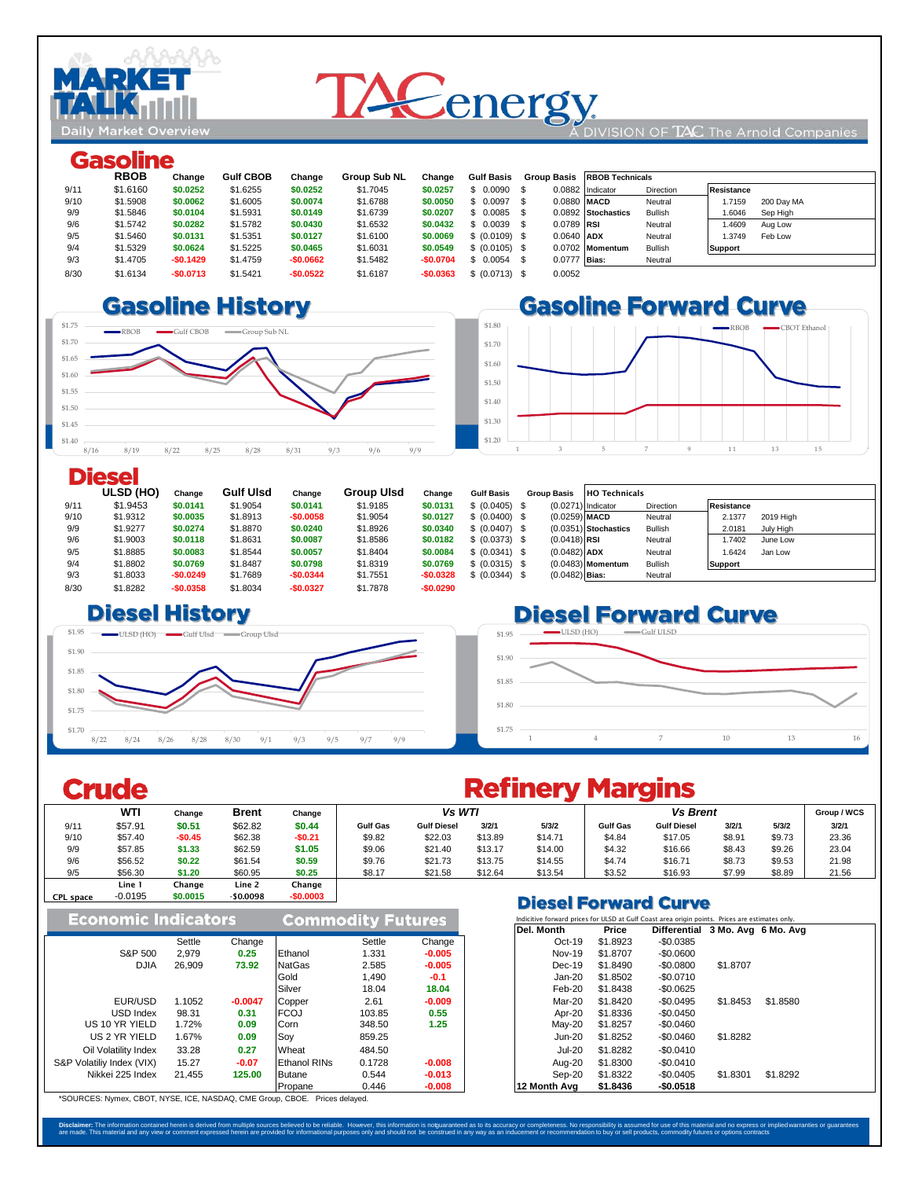

# **TACenergy**

#### DIVISION OF  $TAC$  The Arnold Companies

## Gasoline

|      | ------------ |            |                  |            |                     |            |                   |              |                        |           |                    |            |  |
|------|--------------|------------|------------------|------------|---------------------|------------|-------------------|--------------|------------------------|-----------|--------------------|------------|--|
|      | <b>RBOB</b>  | Change     | <b>Gulf CBOB</b> | Change     | <b>Group Sub NL</b> | Change     | <b>Gulf Basis</b> | Group Basis  | <b>RBOB Technicals</b> |           |                    |            |  |
| 9/11 | \$1,6160     | \$0.0252   | \$1.6255         | \$0.0252   | \$1,7045            | \$0.0257   | $$0.0090$ \$      |              | 0.0882 Indicator       | Direction | Resistance         |            |  |
| 9/10 | \$1.5908     | \$0.0062   | \$1.6005         | \$0.0074   | \$1.6788            | \$0,0050   | $$0.0097$ \$      | 0.0880 MACD  |                        | Neutral   | 1.7159             | 200 Day MA |  |
| 9/9  | \$1,5846     | \$0.0104   | \$1.5931         | \$0.0149   | \$1,6739            | \$0.0207   | $$0.0085$ \$      |              | 0.0892 Stochastics     | Bullish   | Sep High<br>1.6046 |            |  |
| 9/6  | \$1,5742     | \$0.0282   | \$1,5782         | \$0.0430   | \$1.6532            | \$0.0432   | $$0.0039$ \$      | 0.0789 RSI   |                        | Neutral   | 1.4609<br>Aug Low  |            |  |
| 9/5  | \$1,5460     | \$0.0131   | \$1.5351         | \$0.0127   | \$1,6100            | \$0,0069   | \$ (0.0109) \$    | 0.0640 ADX   |                        | Neutral   | Feb Low<br>1.3749  |            |  |
| 9/4  | \$1,5329     | \$0.0624   | \$1,5225         | \$0.0465   | \$1.6031            | \$0.0549   | \$ (0.0105) \$    |              | 0.0702 Momentum        | Bullish   | <b>Support</b>     |            |  |
| 9/3  | \$1,4705     | $-$0.1429$ | \$1,4759         | $-$0.0662$ | \$1,5482            | $-$0.0704$ | $$0.0054$ \$      | 0.0777 Bias: |                        | Neutral   |                    |            |  |
| 8/30 | \$1.6134     | $-$0.0713$ | \$1.5421         | $-$0.0522$ | \$1,6187            | $-$0.0363$ | \$ (0.0713) \$    | 0.0052       |                        |           |                    |            |  |
|      |              |            |                  |            |                     |            |                   |              |                        |           |                    |            |  |

#### 8/28 \$1.6824 **\$0.0325 \$1.66 \$0.0286** \$1.6451 **\$0.0305** 8/27 \$1.6499 **\$0.0334 \$1.63 \$0.0346** \$1.6146 **\$0.0399**





### **Diesel**

|      | ULSD (HO) | Change     | <b>Gulf UIsd</b> | Change     | <b>Group Ulsd</b> | Change     | <b>Gulf Basis</b> | <b>Group Basis</b> | <b>HO Technicals</b>   |                |                     |
|------|-----------|------------|------------------|------------|-------------------|------------|-------------------|--------------------|------------------------|----------------|---------------------|
| 9/11 | \$1.9453  | \$0.0141   | \$1,9054         | \$0.0141   | \$1,9185          | \$0.0131   | \$ (0.0405) \$    |                    | $(0.0271)$ Indicator   | Direction      | <b>Resistance</b>   |
| 9/10 | \$1,9312  | \$0,0035   | \$1,8913         | $-$0.0058$ | \$1,9054          | \$0.0127   | \$ (0.0400) \$    | $(0.0259)$ MACD    |                        | Neutral        | 2.1377<br>2019 High |
| 9/9  | \$1,9277  | \$0.0274   | \$1,8870         | \$0.0240   | \$1,8926          | \$0.0340   | \$ (0.0407) \$    |                    | $(0.0351)$ Stochastics | <b>Bullish</b> | 2.0181<br>July High |
| 9/6  | \$1,9003  | \$0.0118   | \$1.8631         | \$0.0087   | \$1.8586          | \$0.0182   | \$ (0.0373) \$    | $(0.0418)$ RSI     |                        | Neutral        | 1.7402<br>June Low  |
| 9/5  | \$1,8885  | \$0.0083   | \$1.8544         | \$0.0057   | \$1.8404          | \$0,0084   | \$ (0.0341) \$    | $(0.0482)$ ADX     |                        | Neutral        | 1.6424<br>Jan Low   |
| 9/4  | \$1.8802  | \$0.0769   | \$1.8487         | \$0.0798   | \$1,8319          | \$0.0769   | \$ (0.0315) \$    |                    | $(0.0483)$ Momentum    | <b>Bullish</b> | <b>Support</b>      |
| 9/3  | \$1,8033  | $-$0.0249$ | \$1,7689         | $-$0.0344$ | \$1,7551          | $-$0.0328$ | \$ (0.0344) \$    | $(0.0482)$ Bias:   |                        | Neutral        |                     |
| 8/30 | \$1,8282  | $-$0.0358$ | \$1,8034         | $-$0.0327$ | \$1,7878          | $-$0.0290$ |                   |                    |                        |                |                     |

#### $\square$  **Biesel History**



# **Diesel Forward Curve**



# **Crude**

# **Refinery Margins**

|                  | <b>WTI</b> | Change   | <b>Brent</b> | Change     |                 | Vs WTI             |         |         |                 | <b>Vs Brent</b>              |        |        |       |  |
|------------------|------------|----------|--------------|------------|-----------------|--------------------|---------|---------|-----------------|------------------------------|--------|--------|-------|--|
| 9/11             | \$57.91    | \$0.51   | \$62.82      | \$0.44     | <b>Gulf Gas</b> | <b>Gulf Diesel</b> | 3/2/1   | 5/3/2   | <b>Gulf Gas</b> | <b>Gulf Diesel</b>           | 3/2/1  | 5/3/2  | 3/2/1 |  |
| 9/10             | \$57.40    | $-$0.45$ | \$62.38      | -\$0.21    | \$9.82          | \$22.03            | \$13.89 | \$14.71 | \$4.84          | \$17.05                      | \$8.91 | \$9.73 | 23.36 |  |
| 9/9              | \$57.85    | \$1.33   | \$62.59      | \$1.05     | \$9.06          | \$21.40            | \$13.17 | \$14.00 | \$4.32          | \$16.66                      | \$8.43 | \$9.26 | 23.04 |  |
| 9/6              | \$56.52    | \$0.22   | \$61.54      | \$0.59     | \$9.76          | \$21.73            | \$13.75 | \$14.55 | \$4.74          | \$16.71                      | \$8.73 | \$9.53 | 21.98 |  |
| 9/5              | \$56.30    | \$1.20   | \$60.95      | \$0.25     | \$8.17          | \$21.58            | \$12.64 | \$13.54 | \$3.52          | \$16.93                      | \$7.99 | \$8.89 | 21.56 |  |
|                  | Line 1     | Change   | Line 2       | Change     |                 |                    |         |         |                 |                              |        |        |       |  |
| <b>CPL</b> space | $-0.0195$  | \$0.0015 | $-$0.0098$   | $-$0.0003$ |                 |                    |         |         |                 | <b>Bissel Bennemal Armse</b> |        |        |       |  |

#### **Commodity Futures Economic Indicators** Settle Change Settle Change | Oct-19 \$1.8923 -\$0.0385 S&P 500 2,979 **0.25** Ethanol 1.331 **-0.005** Nov-19 \$1.8707 -\$0.0600 DJIA 26,909 **73.92** NatGas 2.585 **-0.005** Dec-19 \$1.8490 -\$0.0800 \$1.8707 Gold 1,490 **-0.1** Jan-20 \$1.8502 -\$0.0710 Silver 18.04 **18.04** Feb-20 \$1.8438 -\$0.0625 EUR/USD 1.1052 **-0.0047** Copper 2.61 **-0.009** Mar-20 \$1.8420 -\$0.0495 \$1.8453 \$1.8580 USD Index 98.31 **0.31** FCOJ 103.85 **0.55** Apr-20 \$1.8336 -\$0.0450 US 10 YR YIELD 1.72% **0.09** Corn 348.50 **1.25** May-20 \$1.8257 -\$0.0460 US 2 YR YIELD 1.67% **0.09** Soy 859.25 Jun-20 \$1.8252 -\$0.0460 \$1.8282 Oil Volatility Index 33.28 **0.27** Wheat 484.50 Jul-20 \$1.8282 -\$0.0410 S&P Volatiliy Index (VIX) 15.27 **-0.07** Ethanol RINs 0.1728 **-0.008** Aug-20 \$1.8300 -\$0.0410 Nikkei 225 Index 21,455 **125.00** Butane 0.544 **-0.013** Sep-20 \$1.8322 -\$0.0405 \$1.8301 \$1.8292

### **Diesel Forward Curve**

| <b>Commodity Futures</b> |        |          | Indicitive forward prices for ULSD at Gulf Coast area origin points. Prices are estimates only. |          |                                  |          |          |  |  |  |  |  |
|--------------------------|--------|----------|-------------------------------------------------------------------------------------------------|----------|----------------------------------|----------|----------|--|--|--|--|--|
|                          |        |          | Del. Month                                                                                      | Price    | Differential 3 Mo. Avg 6 Mo. Avg |          |          |  |  |  |  |  |
|                          | Settle | Change   | $Oct-19$                                                                                        | \$1,8923 | -\$0.0385                        |          |          |  |  |  |  |  |
| Ethanol                  | 1.331  | $-0.005$ | <b>Nov-19</b>                                                                                   | \$1,8707 | $-$0.0600$                       |          |          |  |  |  |  |  |
| NatGas                   | 2.585  | $-0.005$ | $Dec-19$                                                                                        | \$1,8490 | -\$0.0800                        | \$1,8707 |          |  |  |  |  |  |
| Gold                     | 1.490  | $-0.1$   | Jan-20                                                                                          | \$1,8502 | $-$0.0710$                       |          |          |  |  |  |  |  |
| Silver                   | 18.04  | 18.04    | Feb-20                                                                                          | \$1,8438 | $-$0.0625$                       |          |          |  |  |  |  |  |
| Copper                   | 2.61   | $-0.009$ | Mar-20                                                                                          | \$1,8420 | $-$0.0495$                       | \$1,8453 | \$1.8580 |  |  |  |  |  |
| FCOJ                     | 103.85 | 0.55     | Apr-20                                                                                          | \$1,8336 | $-$0.0450$                       |          |          |  |  |  |  |  |
| Corn                     | 348.50 | 1.25     | $May-20$                                                                                        | \$1,8257 | $-$0.0460$                       |          |          |  |  |  |  |  |
| Sov                      | 859.25 |          | <b>Jun-20</b>                                                                                   | \$1.8252 | -\$0.0460                        | \$1,8282 |          |  |  |  |  |  |
| Wheat                    | 484.50 |          | <b>Jul-20</b>                                                                                   | \$1.8282 | $-$0.0410$                       |          |          |  |  |  |  |  |
| <b>Ethanol RINs</b>      | 0.1728 | $-0.008$ | Aug-20                                                                                          | \$1,8300 | $-$0.0410$                       |          |          |  |  |  |  |  |
| <b>Butane</b>            | 0.544  | $-0.013$ | Sep-20                                                                                          | \$1.8322 | $-$0.0405$                       | \$1.8301 | \$1.8292 |  |  |  |  |  |
| Propane                  | 0.446  | $-0.008$ | 12 Month Ava                                                                                    | \$1.8436 | $-$0.0518$                       |          |          |  |  |  |  |  |

\*SOURCES: Nymex, CBOT, NYSE, ICE, NASDAQ, CME Group, CBOE. Prices delayed.

Disclaimer: The information contained herein is derived from multiple sources believed to be reliable. However, this information is notgaranted as to its accuracy or completeness. No responsibility is assumed for exponsion